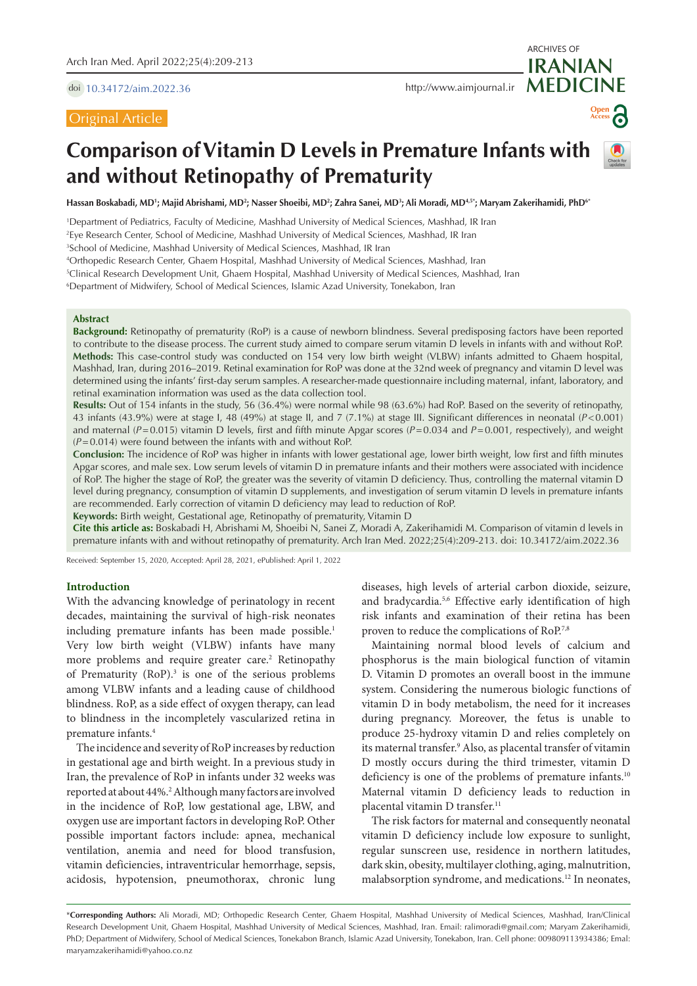doi [10.34172/aim.2022.36](https://doi.org/10.34172/aim.2022.36)

# Original Article

ARCHIVES OF



# **Comparison of Vitamin D Levels in Premature Infants with and without Retinopathy of Prematurity**

Hassan Boskabadi, MD'; Majid Abrishami, MD<sup>2</sup>; Nasser Shoeibi, MD<sup>2</sup>; Zahra Sanei, MD<sup>3</sup>; Ali Moradi, MD<sup>4,5</sup>°; Maryam Zakerihamidi, PhD<sup>6</sup>'

1 Department of Pediatrics, Faculty of Medicine, Mashhad University of Medical Sciences, Mashhad, IR Iran

2 Eye Research Center, School of Medicine, Mashhad University of Medical Sciences, Mashhad, IR Iran

3 School of Medicine, Mashhad University of Medical Sciences, Mashhad, IR Iran

4 Orthopedic Research Center, Ghaem Hospital, Mashhad University of Medical Sciences, Mashhad, Iran

5 Clinical Research Development Unit, Ghaem Hospital, Mashhad University of Medical Sciences, Mashhad, Iran

6 Department of Midwifery, School of Medical Sciences, Islamic Azad University, Tonekabon, Iran

## **Abstract**

**Background:** Retinopathy of prematurity (RoP) is a cause of newborn blindness. Several predisposing factors have been reported to contribute to the disease process. The current study aimed to compare serum vitamin D levels in infants with and without RoP. **Methods:** This case-control study was conducted on 154 very low birth weight (VLBW) infants admitted to Ghaem hospital, Mashhad, Iran, during 2016–2019. Retinal examination for RoP was done at the 32nd week of pregnancy and vitamin D level was determined using the infants' first-day serum samples. A researcher-made questionnaire including maternal, infant, laboratory, and retinal examination information was used as the data collection tool.

**Results:** Out of 154 infants in the study, 56 (36.4%) were normal while 98 (63.6%) had RoP. Based on the severity of retinopathy, 43 infants (43.9%) were at stage I, 48 (49%) at stage II, and 7 (7.1%) at stage III. Significant differences in neonatal (*P*<0.001) and maternal ( $P=0.015$ ) vitamin D levels, first and fifth minute Apgar scores ( $P=0.034$  and  $P=0.001$ , respectively), and weight (*P*=0.014) were found between the infants with and without RoP.

**Conclusion:** The incidence of RoP was higher in infants with lower gestational age, lower birth weight, low first and fifth minutes Apgar scores, and male sex. Low serum levels of vitamin D in premature infants and their mothers were associated with incidence of RoP. The higher the stage of RoP, the greater was the severity of vitamin D deficiency. Thus, controlling the maternal vitamin D level during pregnancy, consumption of vitamin D supplements, and investigation of serum vitamin D levels in premature infants are recommended. Early correction of vitamin D deficiency may lead to reduction of RoP.

**Keywords:** Birth weight, Gestational age, Retinopathy of prematurity, Vitamin D

**Cite this article as:** Boskabadi H, Abrishami M, Shoeibi N, Sanei Z, Moradi A, Zakerihamidi M. Comparison of vitamin d levels in premature infants with and without retinopathy of prematurity. Arch Iran Med. 2022;25(4):209-213. doi: 10.34172/aim.2022.36

Received: September 15, 2020, Accepted: April 28, 2021, ePublished: April 1, 2022

## **Introduction**

With the advancing knowledge of perinatology in recent decades, maintaining the survival of high-risk neonates including premature infants has been made possible.<sup>1</sup> Very low birth weight (VLBW) infants have many more problems and require greater care.<sup>2</sup> Retinopathy of Prematurity (RoP).<sup>3</sup> is one of the serious problems among VLBW infants and a leading cause of childhood blindness. RoP, as a side effect of oxygen therapy, can lead to blindness in the incompletely vascularized retina in premature infants.4

The incidence and severity of RoP increases by reduction in gestational age and birth weight. In a previous study in Iran, the prevalence of RoP in infants under 32 weeks was reported at about 44%.2 Although many factors are involved in the incidence of RoP, low gestational age, LBW, and oxygen use are important factors in developing RoP. Other possible important factors include: apnea, mechanical ventilation, anemia and need for blood transfusion, vitamin deficiencies, intraventricular hemorrhage, sepsis, acidosis, hypotension, pneumothorax, chronic lung

diseases, high levels of arterial carbon dioxide, seizure, and bradycardia.5,6 Effective early identification of high risk infants and examination of their retina has been proven to reduce the complications of RoP.7,8

Maintaining normal blood levels of calcium and phosphorus is the main biological function of vitamin D. Vitamin D promotes an overall boost in the immune system. Considering the numerous biologic functions of vitamin D in body metabolism, the need for it increases during pregnancy. Moreover, the fetus is unable to produce 25-hydroxy vitamin D and relies completely on its maternal transfer.<sup>9</sup> Also, as placental transfer of vitamin D mostly occurs during the third trimester, vitamin D deficiency is one of the problems of premature infants.<sup>10</sup> Maternal vitamin D deficiency leads to reduction in placental vitamin D transfer.<sup>11</sup>

The risk factors for maternal and consequently neonatal vitamin D deficiency include low exposure to sunlight, regular sunscreen use, residence in northern latitudes, dark skin, obesity, multilayer clothing, aging, malnutrition, malabsorption syndrome, and medications.12 In neonates,

\***Corresponding Authors:** Ali Moradi, MD; Orthopedic Research Center, Ghaem Hospital, Mashhad University of Medical Sciences, Mashhad, Iran/Clinical Research Development Unit, Ghaem Hospital, Mashhad University of Medical Sciences, Mashhad, Iran. Email: ralimoradi@gmail.com; Maryam Zakerihamidi, PhD; Department of Midwifery, School of Medical Sciences, Tonekabon Branch, Islamic Azad University, Tonekabon, Iran. Cell phone: 009809113934386; Emal: maryamzakerihamidi@yahoo.co.nz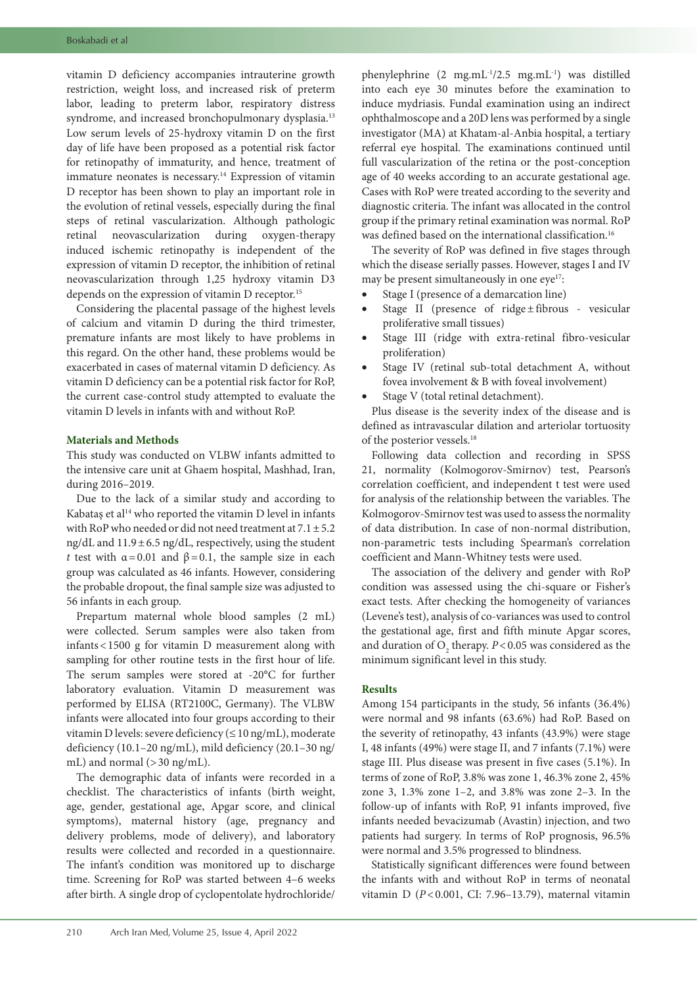vitamin D deficiency accompanies intrauterine growth restriction, weight loss, and increased risk of preterm labor, leading to preterm labor, respiratory distress syndrome, and increased bronchopulmonary dysplasia.<sup>13</sup> Low serum levels of 25-hydroxy vitamin D on the first day of life have been proposed as a potential risk factor for retinopathy of immaturity, and hence, treatment of immature neonates is necessary.<sup>14</sup> Expression of vitamin D receptor has been shown to play an important role in the evolution of retinal vessels, especially during the final steps of retinal vascularization. Although pathologic retinal neovascularization during oxygen-therapy induced ischemic retinopathy is independent of the expression of vitamin D receptor, the inhibition of retinal neovascularization through 1,25 hydroxy vitamin D3 depends on the expression of vitamin D receptor.<sup>15</sup>

Considering the placental passage of the highest levels of calcium and vitamin D during the third trimester, premature infants are most likely to have problems in this regard. On the other hand, these problems would be exacerbated in cases of maternal vitamin D deficiency. As vitamin D deficiency can be a potential risk factor for RoP, the current case-control study attempted to evaluate the vitamin D levels in infants with and without RoP.

## **Materials and Methods**

This study was conducted on VLBW infants admitted to the intensive care unit at Ghaem hospital, Mashhad, Iran, during 2016–2019.

Due to the lack of a similar study and according to Kabataş et al<sup>14</sup> who reported the vitamin D level in infants with RoP who needed or did not need treatment at  $7.1 \pm 5.2$ ng/dL and 11.9±6.5 ng/dL, respectively, using the student *t* test with  $\alpha = 0.01$  and  $\beta = 0.1$ , the sample size in each group was calculated as 46 infants. However, considering the probable dropout, the final sample size was adjusted to 56 infants in each group.

Prepartum maternal whole blood samples (2 mL) were collected. Serum samples were also taken from infants<1500 g for vitamin D measurement along with sampling for other routine tests in the first hour of life. The serum samples were stored at -20°C for further laboratory evaluation. Vitamin D measurement was performed by ELISA (RT2100C, Germany). The VLBW infants were allocated into four groups according to their vitamin D levels: severe deficiency (≤10 ng/mL), moderate deficiency (10.1–20 ng/mL), mild deficiency (20.1–30 ng/ mL) and normal (>30 ng/mL).

The demographic data of infants were recorded in a checklist. The characteristics of infants (birth weight, age, gender, gestational age, Apgar score, and clinical symptoms), maternal history (age, pregnancy and delivery problems, mode of delivery), and laboratory results were collected and recorded in a questionnaire. The infant's condition was monitored up to discharge time. Screening for RoP was started between 4–6 weeks after birth. A single drop of cyclopentolate hydrochloride/ phenylephrine (2 mg.mL-1/2.5 mg.mL-1) was distilled into each eye 30 minutes before the examination to induce mydriasis. Fundal examination using an indirect ophthalmoscope and a 20D lens was performed by a single investigator (MA) at Khatam-al-Anbia hospital, a tertiary referral eye hospital. The examinations continued until full vascularization of the retina or the post-conception age of 40 weeks according to an accurate gestational age. Cases with RoP were treated according to the severity and diagnostic criteria. The infant was allocated in the control group if the primary retinal examination was normal. RoP was defined based on the international classification.<sup>16</sup>

The severity of RoP was defined in five stages through which the disease serially passes. However, stages I and IV may be present simultaneously in one  $eye^{17}$ :

- Stage I (presence of a demarcation line)
- Stage II (presence of ridge $\pm$ fibrous vesicular proliferative small tissues)
- Stage III (ridge with extra-retinal fibro-vesicular proliferation)
- Stage IV (retinal sub-total detachment A, without fovea involvement & B with foveal involvement)
- Stage V (total retinal detachment).

Plus disease is the severity index of the disease and is defined as intravascular dilation and arteriolar tortuosity of the posterior vessels.18

Following data collection and recording in SPSS 21, normality (Kolmogorov-Smirnov) test, Pearson's correlation coefficient, and independent t test were used for analysis of the relationship between the variables. The Kolmogorov-Smirnov test was used to assess the normality of data distribution. In case of non-normal distribution, non-parametric tests including Spearman's correlation coefficient and Mann-Whitney tests were used.

The association of the delivery and gender with RoP condition was assessed using the chi-square or Fisher's exact tests. After checking the homogeneity of variances (Levene's test), analysis of co-variances was used to control the gestational age, first and fifth minute Apgar scores, and duration of  $O_2$  therapy.  $P < 0.05$  was considered as the minimum significant level in this study.

## **Results**

Among 154 participants in the study, 56 infants (36.4%) were normal and 98 infants (63.6%) had RoP. Based on the severity of retinopathy, 43 infants (43.9%) were stage I, 48 infants (49%) were stage II, and 7 infants (7.1%) were stage III. Plus disease was present in five cases (5.1%). In terms of zone of RoP, 3.8% was zone 1, 46.3% zone 2, 45% zone 3, 1.3% zone 1–2, and 3.8% was zone 2–3. In the follow-up of infants with RoP, 91 infants improved, five infants needed bevacizumab (Avastin) injection, and two patients had surgery. In terms of RoP prognosis, 96.5% were normal and 3.5% progressed to blindness.

Statistically significant differences were found between the infants with and without RoP in terms of neonatal vitamin D (*P*<0.001, CI: 7.96–13.79), maternal vitamin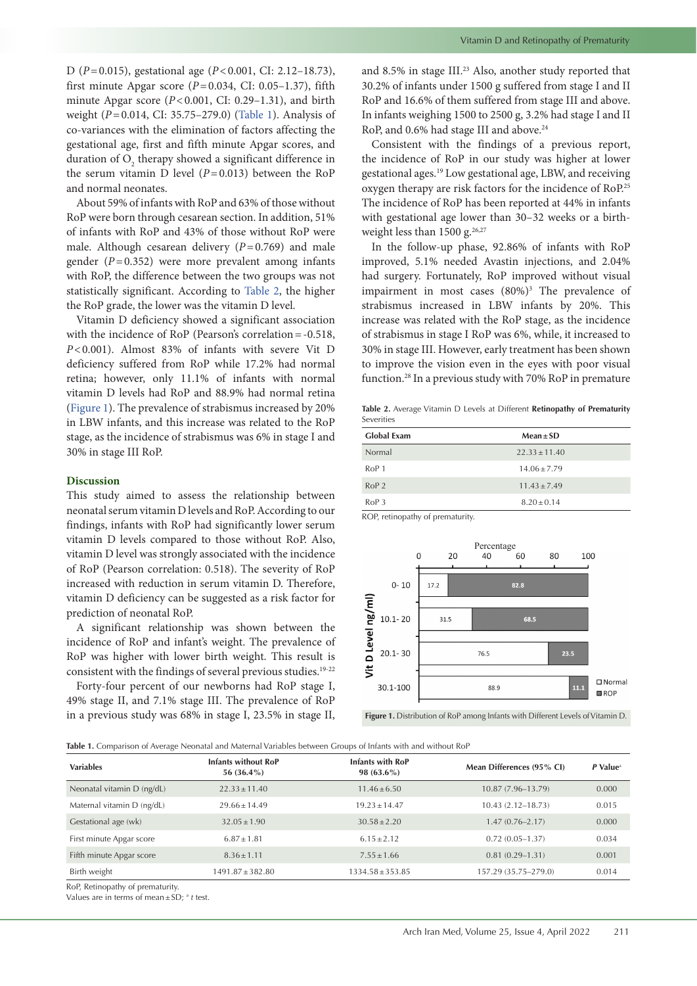D (*P*=0.015), gestational age (*P*<0.001, CI: 2.12–18.73), first minute Apgar score  $(P=0.034, \text{ CI: } 0.05-1.37)$ , fifth minute Apgar score (*P*<0.001, CI: 0.29–1.31), and birth weight (*P*=0.014, CI: 35.75–279.0) ([Table](#page-2-0) 1). Analysis of co-variances with the elimination of factors affecting the gestational age, first and fifth minute Apgar scores, and duration of  $O_2$  therapy showed a significant difference in the serum vitamin D level  $(P=0.013)$  between the RoP and normal neonates.

About 59% of infants with RoP and 63% of those without RoP were born through cesarean section. In addition, 51% of infants with RoP and 43% of those without RoP were male. Although cesarean delivery  $(P=0.769)$  and male gender (*P*=0.352) were more prevalent among infants with RoP, the difference between the two groups was not statistically significant. According to [Table](#page-2-1) 2, the higher the RoP grade, the lower was the vitamin D level.

Vitamin D deficiency showed a significant association with the incidence of RoP (Pearson's correlation = -0.518, *P*<0.001). Almost 83% of infants with severe Vit D deficiency suffered from RoP while 17.2% had normal retina; however, only 11.1% of infants with normal vitamin D levels had RoP and 88.9% had normal retina [\(Figure](#page-2-2) 1). The prevalence of strabismus increased by 20% in LBW infants, and this increase was related to the RoP stage, as the incidence of strabismus was 6% in stage I and 30% in stage III RoP.

## **Discussion**

This study aimed to assess the relationship between neonatal serum vitamin D levels and RoP. According to our findings, infants with RoP had significantly lower serum vitamin D levels compared to those without RoP. Also, vitamin D level was strongly associated with the incidence of RoP (Pearson correlation: 0.518). The severity of RoP increased with reduction in serum vitamin D. Therefore, vitamin D deficiency can be suggested as a risk factor for prediction of neonatal RoP.

A significant relationship was shown between the incidence of RoP and infant's weight. The prevalence of RoP was higher with lower birth weight. This result is consistent with the findings of several previous studies.<sup>19-22</sup>

Forty-four percent of our newborns had RoP stage I, 49% stage II, and 7.1% stage III. The prevalence of RoP in a previous study was 68% in stage I, 23.5% in stage II, and 8.5% in stage III.<sup>23</sup> Also, another study reported that 30.2% of infants under 1500 g suffered from stage I and II RoP and 16.6% of them suffered from stage III and above. In infants weighing 1500 to 2500 g, 3.2% had stage I and II RoP, and 0.6% had stage III and above.<sup>24</sup>

Consistent with the findings of a previous report, the incidence of RoP in our study was higher at lower gestational ages.19 Low gestational age, LBW, and receiving oxygen therapy are risk factors for the incidence of RoP.<sup>25</sup> The incidence of RoP has been reported at 44% in infants with gestational age lower than 30–32 weeks or a birthweight less than 1500 g.<sup>26,27</sup>

In the follow-up phase, 92.86% of infants with RoP improved, 5.1% needed Avastin injections, and 2.04% had surgery. Fortunately, RoP improved without visual impairment in most cases (80%)<sup>3</sup> The prevalence of strabismus increased in LBW infants by 20%. This increase was related with the RoP stage, as the incidence of strabismus in stage I RoP was 6%, while, it increased to 30% in stage III. However, early treatment has been shown to improve the vision even in the eyes with poor visual function.28 In a previous study with 70% RoP in premature

<span id="page-2-1"></span>**Table 2.** Average Vitamin D Levels at Different **Retinopathy of Prematurity** Severities

| <b>Global Exam</b> | $Mean \pm SD$     |  |  |
|--------------------|-------------------|--|--|
| Normal             | $22.33 \pm 11.40$ |  |  |
| RoP <sub>1</sub>   | $14.06 + 7.79$    |  |  |
| RoP <sub>2</sub>   | $11.43 + 7.49$    |  |  |
| RoP.3              | $8.20 + 0.14$     |  |  |

<span id="page-2-2"></span>ROP, retinopathy of prematurity.



**Figure 1.** Distribution of RoP among Infants with Different Levels of Vitamin D.

<span id="page-2-0"></span>**Table 1.** Comparison of Average Neonatal and Maternal Variables between Groups of Infants with and without RoP

| <b>Variables</b>           | <b>Infants without RoP</b><br>56 (36.4%) | <b>Infants with RoP</b><br>98 $(63.6\%)$ | Mean Differences (95% CI) | $P$ Value <sup>a</sup> |
|----------------------------|------------------------------------------|------------------------------------------|---------------------------|------------------------|
| Neonatal vitamin D (ng/dL) | $22.33 \pm 11.40$                        | $11.46 \pm 6.50$                         | $10.87(7.96 - 13.79)$     | 0.000                  |
| Maternal vitamin D (ng/dL) | $29.66 + 14.49$                          | $19.23 + 14.47$                          | $10.43(2.12 - 18.73)$     | 0.015                  |
| Gestational age (wk)       | $32.05 \pm 1.90$                         | $30.58 \pm 2.20$                         | $1.47(0.76 - 2.17)$       | 0.000                  |
| First minute Apgar score   | $6.87 + 1.81$                            | $6.15 + 2.12$                            | $0.72(0.05-1.37)$         | 0.034                  |
| Fifth minute Apgar score   | $8.36 \pm 1.11$                          | $7.55 \pm 1.66$                          | $0.81(0.29-1.31)$         | 0.001                  |
| Birth weight               | $1491.87 \pm 382.80$                     | $1334.58 \pm 353.85$                     | 157.29 (35.75-279.0)      | 0.014                  |

RoP, Retinopathy of prematurity.

Values are in terms of mean±SD; a *t* test.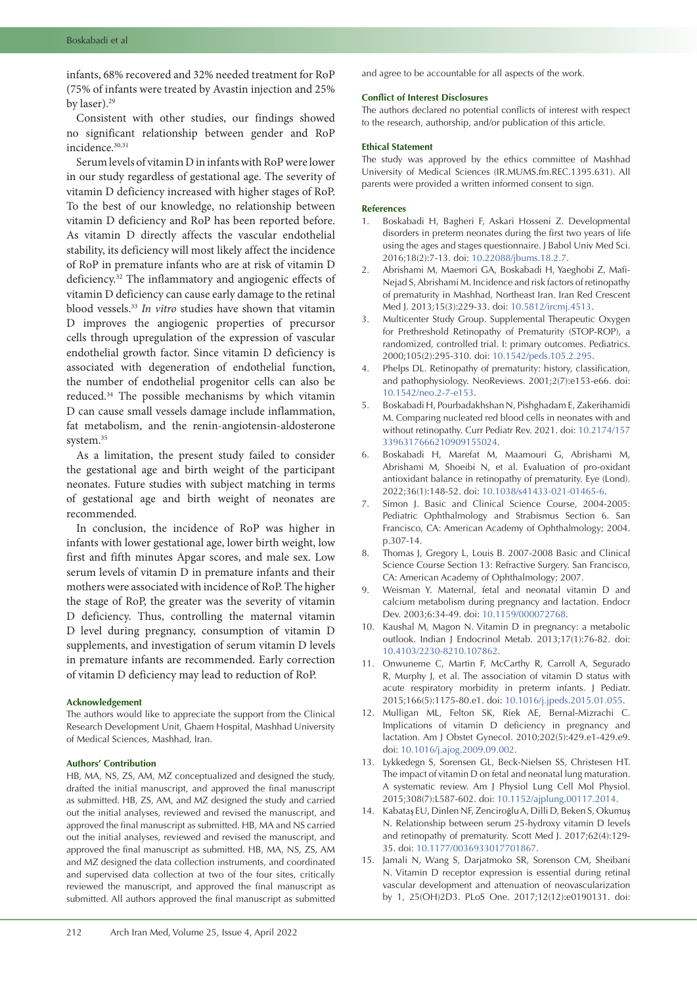infants, 68% recovered and 32% needed treatment for RoP (75% of infants were treated by Avastin injection and 25% by laser).29

Consistent with other studies, our findings showed no significant relationship between gender and RoP incidence.30,31

Serum levels of vitamin D in infants with RoP were lower in our study regardless of gestational age. The severity of vitamin D deficiency increased with higher stages of RoP. To the best of our knowledge, no relationship between vitamin D deficiency and RoP has been reported before. As vitamin D directly affects the vascular endothelial stability, its deficiency will most likely affect the incidence of RoP in premature infants who are at risk of vitamin D deficiency.32 The inflammatory and angiogenic effects of vitamin D deficiency can cause early damage to the retinal blood vessels.33 *In vitro* studies have shown that vitamin D improves the angiogenic properties of precursor cells through upregulation of the expression of vascular endothelial growth factor. Since vitamin D deficiency is associated with degeneration of endothelial function, the number of endothelial progenitor cells can also be reduced.34 The possible mechanisms by which vitamin D can cause small vessels damage include inflammation, fat metabolism, and the renin-angiotensin-aldosterone system.<sup>35</sup>

As a limitation, the present study failed to consider the gestational age and birth weight of the participant neonates. Future studies with subject matching in terms of gestational age and birth weight of neonates are recommended.

In conclusion, the incidence of RoP was higher in infants with lower gestational age, lower birth weight, low first and fifth minutes Apgar scores, and male sex. Low serum levels of vitamin D in premature infants and their mothers were associated with incidence of RoP. The higher the stage of RoP, the greater was the severity of vitamin D deficiency. Thus, controlling the maternal vitamin D level during pregnancy, consumption of vitamin D supplements, and investigation of serum vitamin D levels in premature infants are recommended. Early correction of vitamin D deficiency may lead to reduction of RoP.

#### **Acknowledgement**

The authors would like to appreciate the support from the Clinical Research Development Unit, Ghaem Hospital, Mashhad University of Medical Sciences, Mashhad, Iran.

## **Authors' Contribution**

HB, MA, NS, ZS, AM, MZ conceptualized and designed the study, drafted the initial manuscript, and approved the final manuscript as submitted. HB, ZS, AM, and MZ designed the study and carried out the initial analyses, reviewed and revised the manuscript, and approved the final manuscript as submitted. HB, MA and NS carried out the initial analyses, reviewed and revised the manuscript, and approved the final manuscript as submitted. HB, MA, NS, ZS, AM and MZ designed the data collection instruments, and coordinated and supervised data collection at two of the four sites, critically reviewed the manuscript, and approved the final manuscript as submitted. All authors approved the final manuscript as submitted

and agree to be accountable for all aspects of the work.

#### **Conflict of Interest Disclosures**

The authors declared no potential conflicts of interest with respect to the research, authorship, and/or publication of this article.

#### **Ethical Statement**

The study was approved by the ethics committee of Mashhad University of Medical Sciences (IR.MUMS.fm.REC.1395.631). All parents were provided a written informed consent to sign.

#### **References**

- 1. Boskabadi H, Bagheri F, Askari Hosseni Z. Developmental disorders in preterm neonates during the first two years of life using the ages and stages questionnaire. J Babol Univ Med Sci. 2016;18(2):7-13. doi: [10.22088/jbums.18.2.7.](https://doi.org/10.22088/jbums.18.2.7)
- 2. Abrishami M, Maemori GA, Boskabadi H, Yaeghobi Z, Mafi-Nejad S, Abrishami M. Incidence and risk factors of retinopathy of prematurity in Mashhad, Northeast Iran. Iran Red Crescent Med J. 2013;15(3):229-33. doi: [10.5812/ircmj.4513](https://doi.org/10.5812/ircmj.4513).
- 3. Multicenter Study Group. Supplemental Therapeutic Oxygen for Prethreshold Retinopathy of Prematurity (STOP-ROP), a randomized, controlled trial. I: primary outcomes. Pediatrics. 2000;105(2):295-310. doi: [10.1542/peds.105.2.295.](https://doi.org/10.1542/peds.105.2.295)
- 4. Phelps DL. Retinopathy of prematurity: history, classification, and pathophysiology. NeoReviews. 2001;2(7):e153-e66. doi: [10.1542/neo.2-7-e153.](https://doi.org/10.1542/neo.2-7-e153)
- 5. Boskabadi H, Pourbadakhshan N, Pishghadam E, Zakerihamidi M. Comparing nucleated red blood cells in neonates with and without retinopathy. Curr Pediatr Rev. 2021. doi: 10.2174/157 3396317666210909155024.
- 6. Boskabadi H, Marefat M, Maamouri G, Abrishami M, Abrishami M, Shoeibi N, et al. Evaluation of pro-oxidant antioxidant balance in retinopathy of prematurity. Eye (Lond). 2022;36(1):148-52. doi: 10.1038/s41433-021-01465-6.
- 7. Simon J. Basic and Clinical Science Course, 2004-2005: Pediatric Ophthalmology and Strabismus Section 6. San Francisco, CA: American Academy of Ophthalmology; 2004. p.307-14.
- 8. Thomas J, Gregory L, Louis B. 2007-2008 Basic and Clinical Science Course Section 13: Refractive Surgery. San Francisco, CA: American Academy of Ophthalmology; 2007.
- 9. Weisman Y. Maternal, fetal and neonatal vitamin D and calcium metabolism during pregnancy and lactation. Endocr Dev. 2003;6:34-49. doi: [10.1159/000072768](https://doi.org/10.1159/000072768).
- 10. Kaushal M, Magon N. Vitamin D in pregnancy: a metabolic outlook. Indian J Endocrinol Metab. 2013;17(1):76-82. doi: [10.4103/2230-8210.107862](https://doi.org/10.4103/2230-8210.107862).
- 11. Onwuneme C, Martin F, McCarthy R, Carroll A, Segurado R, Murphy J, et al. The association of vitamin D status with acute respiratory morbidity in preterm infants. J Pediatr. 2015;166(5):1175-80.e1. doi: [10.1016/j.jpeds.2015.01.055](https://doi.org/10.1016/j.jpeds.2015.01.055).
- 12. Mulligan ML, Felton SK, Riek AE, Bernal-Mizrachi C. Implications of vitamin D deficiency in pregnancy and lactation. Am J Obstet Gynecol. 2010;202(5):429.e1-429.e9. doi: [10.1016/j.ajog.2009.09.002.](https://doi.org/10.1016/j.ajog.2009.09.002)
- 13. Lykkedegn S, Sorensen GL, Beck-Nielsen SS, Christesen HT. The impact of vitamin D on fetal and neonatal lung maturation. A systematic review. Am J Physiol Lung Cell Mol Physiol. 2015;308(7):L587-602. doi: [10.1152/ajplung.00117.2014](https://doi.org/10.1152/ajplung.00117.2014).
- 14. Kabataş EU, Dinlen NF, Zenciroğlu A, Dilli D, Beken S, Okumuş N. Relationship between serum 25-hydroxy vitamin D levels and retinopathy of prematurity. Scott Med J. 2017;62(4):129- 35. doi: [10.1177/0036933017701867](https://doi.org/10.1177/0036933017701867).
- 15. Jamali N, Wang S, Darjatmoko SR, Sorenson CM, Sheibani N. Vitamin D receptor expression is essential during retinal vascular development and attenuation of neovascularization by 1, 25(OH)2D3. PLoS One. 2017;12(12):e0190131. doi: